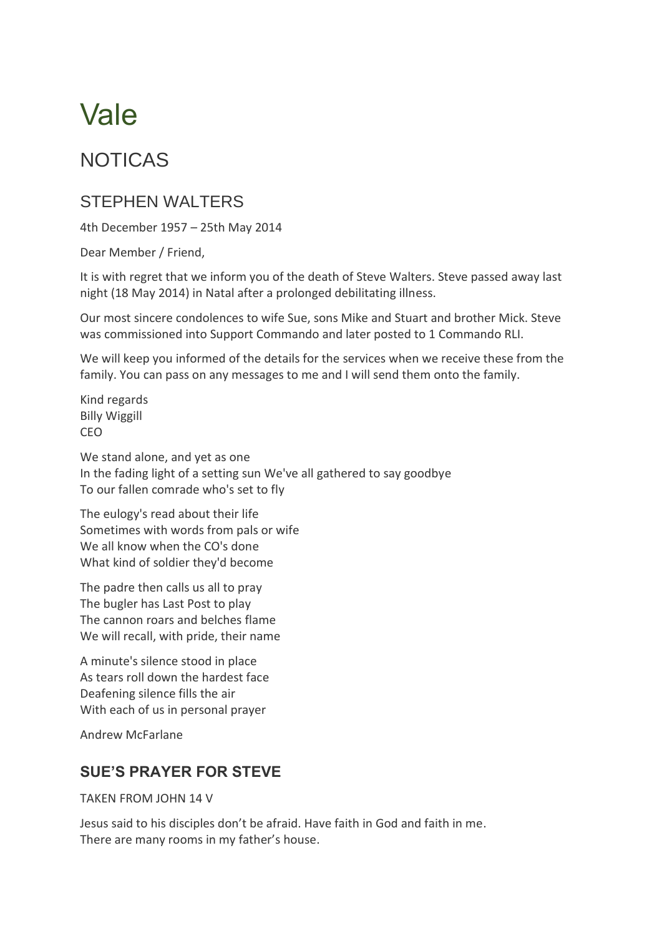# Vale

## NOTICAS

## STEPHEN WALTERS

4th December 1957 – 25th May 2014

Dear Member / Friend,

It is with regret that we inform you of the death of Steve Walters. Steve passed away last night (18 May 2014) in Natal after a prolonged debilitating illness.

Our most sincere condolences to wife Sue, sons Mike and Stuart and brother Mick. Steve was commissioned into Support Commando and later posted to 1 Commando RLI.

We will keep you informed of the details for the services when we receive these from the family. You can pass on any messages to me and I will send them onto the family.

Kind regards Billy Wiggill CEO

We stand alone, and yet as one In the fading light of a setting sun We've all gathered to say goodbye To our fallen comrade who's set to fly

The eulogy's read about their life Sometimes with words from pals or wife We all know when the CO's done What kind of soldier they'd become

The padre then calls us all to pray The bugler has Last Post to play The cannon roars and belches flame We will recall, with pride, their name

A minute's silence stood in place As tears roll down the hardest face Deafening silence fills the air With each of us in personal prayer

Andrew McFarlane

### **SUE'S PRAYER FOR STEVE**

TAKEN FROM JOHN 14 V

Jesus said to his disciples don't be afraid. Have faith in God and faith in me. There are many rooms in my father's house.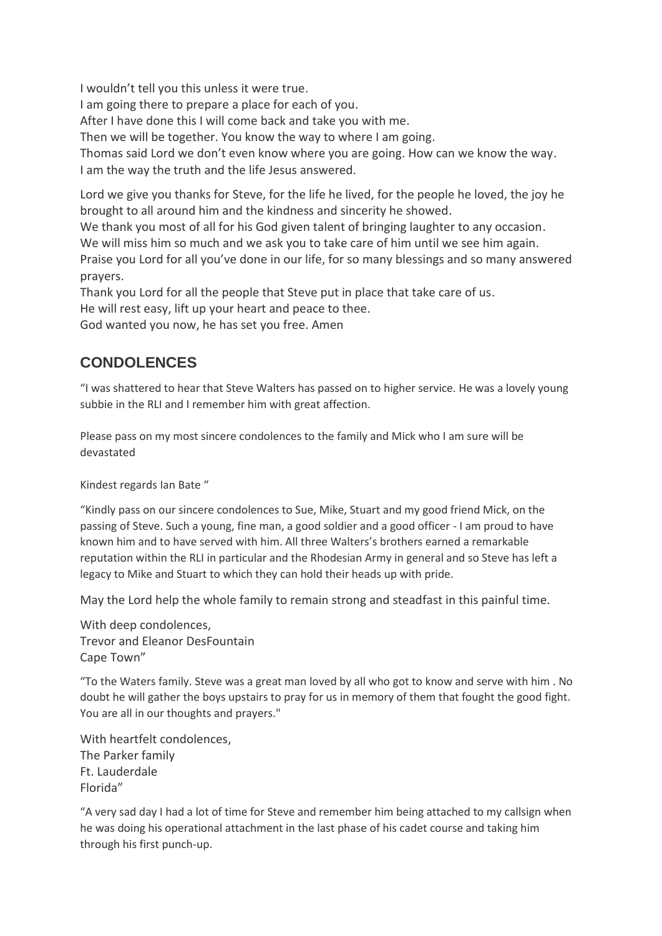I wouldn't tell you this unless it were true.

I am going there to prepare a place for each of you.

After I have done this I will come back and take you with me.

Then we will be together. You know the way to where I am going.

Thomas said Lord we don't even know where you are going. How can we know the way. I am the way the truth and the life Jesus answered.

Lord we give you thanks for Steve, for the life he lived, for the people he loved, the joy he brought to all around him and the kindness and sincerity he showed.

We thank you most of all for his God given talent of bringing laughter to any occasion.

We will miss him so much and we ask you to take care of him until we see him again.

Praise you Lord for all you've done in our life, for so many blessings and so many answered prayers.

Thank you Lord for all the people that Steve put in place that take care of us. He will rest easy, lift up your heart and peace to thee.

God wanted you now, he has set you free. Amen

#### **CONDOLENCES**

"I was shattered to hear that Steve Walters has passed on to higher service. He was a lovely young subbie in the RLI and I remember him with great affection.

Please pass on my most sincere condolences to the family and Mick who I am sure will be devastated

Kindest regards Ian Bate "

"Kindly pass on our sincere condolences to Sue, Mike, Stuart and my good friend Mick, on the passing of Steve. Such a young, fine man, a good soldier and a good officer - I am proud to have known him and to have served with him. All three Walters's brothers earned a remarkable reputation within the RLI in particular and the Rhodesian Army in general and so Steve has left a legacy to Mike and Stuart to which they can hold their heads up with pride.

May the Lord help the whole family to remain strong and steadfast in this painful time.

With deep condolences, Trevor and Eleanor DesFountain Cape Town"

"To the Waters family. Steve was a great man loved by all who got to know and serve with him . No doubt he will gather the boys upstairs to pray for us in memory of them that fought the good fight. You are all in our thoughts and prayers."

With heartfelt condolences, The Parker family Ft. Lauderdale Florida"

"A very sad day I had a lot of time for Steve and remember him being attached to my callsign when he was doing his operational attachment in the last phase of his cadet course and taking him through his first punch-up.